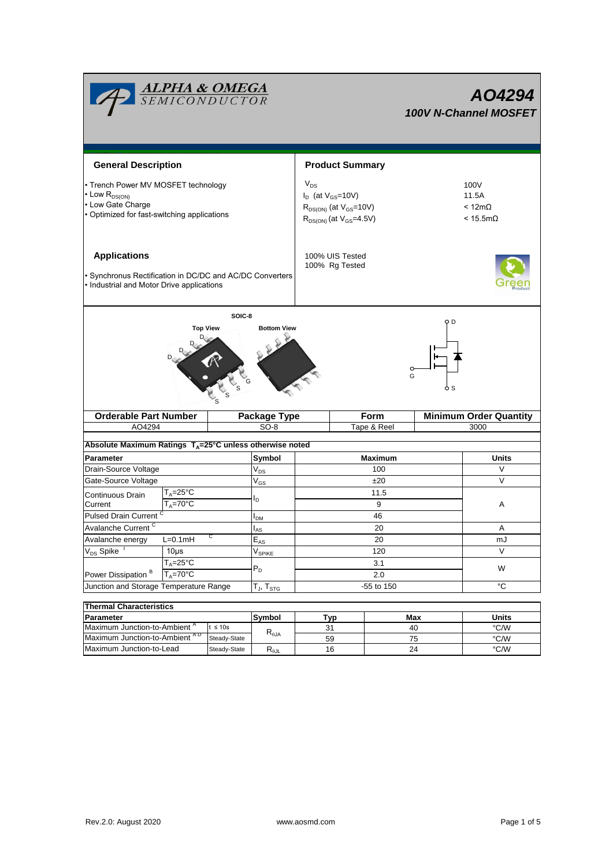|                                                                                                                                     | <b>ALPHA &amp; OMEGA</b><br>SEMICONDUCTOR               |                        |                            |                                                                                                             |                  |      |                                                           | AO4294<br><b>100V N-Channel MOSFET</b> |  |  |
|-------------------------------------------------------------------------------------------------------------------------------------|---------------------------------------------------------|------------------------|----------------------------|-------------------------------------------------------------------------------------------------------------|------------------|------|-----------------------------------------------------------|----------------------------------------|--|--|
| <b>General Description</b>                                                                                                          |                                                         | <b>Product Summary</b> |                            |                                                                                                             |                  |      |                                                           |                                        |  |  |
| • Trench Power MV MOSFET technology<br>$\cdot$ Low $R_{DS(ON)}$<br>• Low Gate Charge<br>• Optimized for fast-switching applications |                                                         |                        |                            | $V_{DS}$<br>$I_D$ (at $V_{GS}$ =10V)<br>$R_{DS(ON)}$ (at $V_{GS}$ =10V)<br>$R_{DS(ON)}$ (at $V_{GS}$ =4.5V) |                  |      | 100V<br>11.5A<br>$< 12 \text{m}\Omega$<br>$< 15.5m\Omega$ |                                        |  |  |
| <b>Applications</b><br>· Synchronus Rectification in DC/DC and AC/DC Converters<br>• Industrial and Motor Drive applications        |                                                         |                        |                            | 100% UIS Tested<br>100% Rg Tested                                                                           |                  |      |                                                           |                                        |  |  |
|                                                                                                                                     | <b>Top View</b>                                         | SOIC-8                 | <b>Bottom View</b>         |                                                                                                             |                  | G    | 9 D                                                       |                                        |  |  |
|                                                                                                                                     | <b>Orderable Part Number</b>                            |                        | Package Type               |                                                                                                             |                  | Form |                                                           | <b>Minimum Order Quantity</b>          |  |  |
| AO4294                                                                                                                              |                                                         |                        | $SO-8$<br>Tape & Reel      |                                                                                                             |                  | 3000 |                                                           |                                        |  |  |
|                                                                                                                                     |                                                         |                        |                            |                                                                                                             |                  |      |                                                           |                                        |  |  |
| Absolute Maximum Ratings $T_A = 25^\circ C$ unless otherwise noted                                                                  |                                                         |                        |                            |                                                                                                             |                  |      |                                                           |                                        |  |  |
|                                                                                                                                     | <b>Parameter</b>                                        |                        |                            | Symbol<br>Maximum                                                                                           |                  |      |                                                           | <b>Units</b>                           |  |  |
| Drain-Source Voltage                                                                                                                |                                                         |                        | $\mathsf{V}_{\mathsf{DS}}$ | 100                                                                                                         |                  |      |                                                           | V<br>V                                 |  |  |
| Gate-Source Voltage                                                                                                                 |                                                         |                        | $V_{GS}$                   | ±20<br>11.5                                                                                                 |                  |      |                                                           |                                        |  |  |
| Current                                                                                                                             | $T_A = 25$ °C<br>Continuous Drain<br>$T_A = 70^\circ C$ |                        | ΙD                         | 9                                                                                                           |                  |      |                                                           | Α                                      |  |  |
| Pulsed Drain Current <sup>C</sup>                                                                                                   |                                                         |                        | <b>I<sub>DM</sub></b>      | 46                                                                                                          |                  |      |                                                           |                                        |  |  |
| Avalanche Current <sup>C</sup>                                                                                                      |                                                         |                        |                            | 20                                                                                                          |                  |      |                                                           | Α                                      |  |  |
| Avalanche energy                                                                                                                    | L=0.1mH                                                 |                        |                            | 20                                                                                                          |                  |      | mJ                                                        |                                        |  |  |
| $V_{DS}$ Spike                                                                                                                      | $10\mus$                                                |                        |                            | 120                                                                                                         |                  |      | V                                                         |                                        |  |  |
| $T_A = 25^\circ C$                                                                                                                  |                                                         |                        | V <sub>SPIKE</sub><br>3.1  |                                                                                                             |                  |      |                                                           |                                        |  |  |
| Power Dissipation <sup>B</sup><br>$T_A = 70$ °C                                                                                     |                                                         |                        | $P_D$                      | 2.0                                                                                                         |                  |      | W                                                         |                                        |  |  |
| Junction and Storage Temperature Range                                                                                              |                                                         |                        | $T_J$ , $T_{STG}$          | °C<br>-55 to 150                                                                                            |                  |      |                                                           |                                        |  |  |
|                                                                                                                                     |                                                         |                        |                            |                                                                                                             |                  |      |                                                           |                                        |  |  |
| <b>Thermal Characteristics</b>                                                                                                      |                                                         |                        |                            |                                                                                                             |                  |      | Max                                                       |                                        |  |  |
| <b>Parameter</b><br>Maximum Junction-to-Ambient <sup>A</sup><br>$t \leq 10s$                                                        |                                                         |                        | Symbol                     |                                                                                                             | <b>Typ</b><br>31 |      | 40                                                        | <b>Units</b><br>$\degree$ C/W          |  |  |
| Maximum Junction-to-Ambient AD                                                                                                      |                                                         | Steady-State           | $R_{\theta JA}$            |                                                                                                             | 59               |      | 75                                                        | °C/W                                   |  |  |
| Maximum Junction-to-Lead                                                                                                            |                                                         | Steady-State           | $R_{\theta$ JL             |                                                                                                             | $16\,$           |      | 24                                                        | $\degree$ C/W                          |  |  |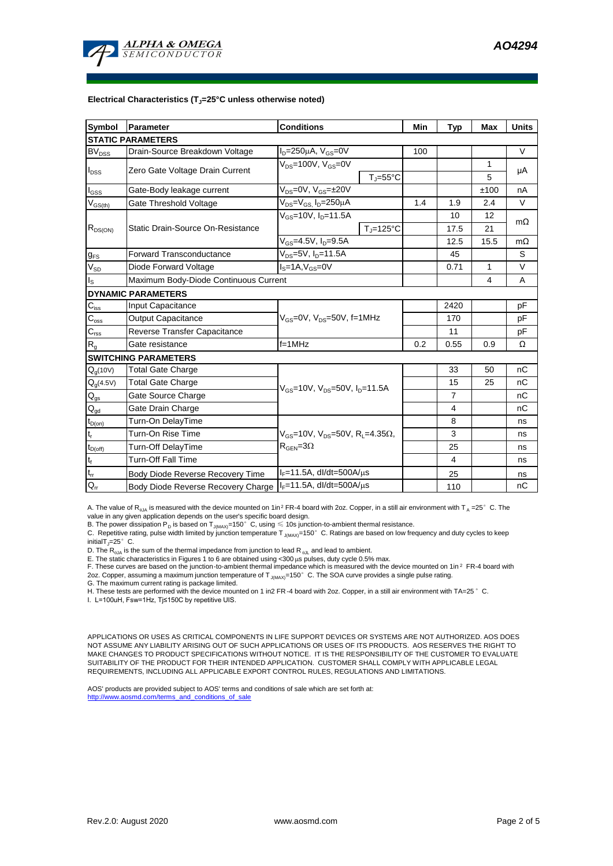

#### **Electrical Characteristics (TJ=25°C unless otherwise noted)**

| <b>Symbol</b>              | <b>Parameter</b>                                                    | <b>Conditions</b>                                             | Min                | <b>Typ</b>     | <b>Max</b>     | <b>Units</b> |           |  |  |  |  |  |
|----------------------------|---------------------------------------------------------------------|---------------------------------------------------------------|--------------------|----------------|----------------|--------------|-----------|--|--|--|--|--|
| <b>STATIC PARAMETERS</b>   |                                                                     |                                                               |                    |                |                |              |           |  |  |  |  |  |
| $BV_{DSS}$                 | $I_D = 250 \mu A$ , $V_{GS} = 0V$<br>Drain-Source Breakdown Voltage |                                                               |                    |                |                |              | $\vee$    |  |  |  |  |  |
| $I_{DSS}$                  | Zero Gate Voltage Drain Current                                     | $V_{DS}$ =100V, $V_{GS}$ =0V<br>$T_{\parallel} = 55^{\circ}C$ |                    |                |                | 1            | μA        |  |  |  |  |  |
|                            |                                                                     |                                                               |                    |                |                | 5            |           |  |  |  |  |  |
| l <sub>GSS</sub>           | Gate-Body leakage current                                           | $V_{DS} = 0V$ , $V_{GS} = \pm 20V$                            |                    |                |                | ±100         | nA        |  |  |  |  |  |
| $V_{GS(th)}$               | Gate Threshold Voltage                                              | $V_{DS} = V_{GS}$ , $I_D = 250 \mu A$                         |                    | 1.4            | 1.9            | 2.4          | $\vee$    |  |  |  |  |  |
|                            |                                                                     | $V_{GS}$ =10V, I <sub>D</sub> =11.5A                          |                    |                | 10             | 12           |           |  |  |  |  |  |
| $R_{DS(ON)}$               | Static Drain-Source On-Resistance                                   |                                                               | $T_{\rm J}$ =125°C |                | 17.5           | 21           | $m\Omega$ |  |  |  |  |  |
|                            |                                                                     | $V_{GS}$ =4.5V, $I_{D}$ =9.5A                                 |                    |                | 12.5           | 15.5         | $m\Omega$ |  |  |  |  |  |
| $g_{FS}$                   | $V_{DS} = 5V$ , $I_{D} = 11.5A$<br><b>Forward Transconductance</b>  |                                                               |                    |                | 45             |              | S         |  |  |  |  |  |
| $V_{SD}$                   | $IS=1A, VGS=0V$<br>Diode Forward Voltage                            |                                                               |                    |                | 0.71           | 1            | $\vee$    |  |  |  |  |  |
| $I_{\rm S}$                | Maximum Body-Diode Continuous Current                               |                                                               |                    |                | 4              | A            |           |  |  |  |  |  |
|                            | <b>DYNAMIC PARAMETERS</b>                                           |                                                               |                    |                |                |              |           |  |  |  |  |  |
| $C_{\text{iss}}$           | <b>Input Capacitance</b>                                            |                                                               |                    |                | 2420           |              | pF        |  |  |  |  |  |
| $C_{\rm oss}$              | <b>Output Capacitance</b>                                           | $V_{GS}$ =0V, $V_{DS}$ =50V, f=1MHz                           |                    | 170            |                | pF           |           |  |  |  |  |  |
| $C_{\rm rss}$              | Reverse Transfer Capacitance                                        |                                                               |                    |                | 11             |              | pF        |  |  |  |  |  |
| $R_g$                      | Gate resistance                                                     | $f = 1$ MHz                                                   | 0.2                | 0.55           | 0.9            | Ω            |           |  |  |  |  |  |
|                            | <b>SWITCHING PARAMETERS</b>                                         |                                                               |                    |                |                |              |           |  |  |  |  |  |
| $Q_g(10V)$                 | <b>Total Gate Charge</b>                                            |                                                               |                    |                | 33             | 50           | nC        |  |  |  |  |  |
| $Q_g(4.5V)$                | <b>Total Gate Charge</b>                                            |                                                               |                    |                | 15             | 25           | nC        |  |  |  |  |  |
| $\mathsf{Q}_{\mathsf{gs}}$ | Gate Source Charge                                                  | $V_{GS}$ =10V, $V_{DS}$ =50V, $I_{D}$ =11.5A                  |                    |                | $\overline{7}$ |              | nC        |  |  |  |  |  |
| $\mathsf{Q}_{\mathsf{gd}}$ | Gate Drain Charge                                                   |                                                               |                    |                | 4              |              | nС        |  |  |  |  |  |
| $t_{D(on)}$                | Turn-On DelayTime                                                   |                                                               |                    |                | 8              |              | ns        |  |  |  |  |  |
| $t_r$                      | Turn-On Rise Time                                                   | $V_{GS}$ =10V, $V_{DS}$ =50V, R <sub>L</sub> =4.35 $\Omega$ , |                    | 3              |                | ns           |           |  |  |  |  |  |
| $t_{D(off)}$               | Turn-Off DelayTime                                                  |                                                               |                    | 25             |                | ns           |           |  |  |  |  |  |
| $t_f$                      | <b>Turn-Off Fall Time</b>                                           |                                                               |                    | $\overline{4}$ |                | ns           |           |  |  |  |  |  |
| $\mathsf{t}_\mathsf{rr}$   | Body Diode Reverse Recovery Time                                    | $I_F = 11.5A$ , dl/dt=500A/ $\mu$ s                           |                    | 25             |                | ns           |           |  |  |  |  |  |
| $Q_{rr}$                   | Body Diode Reverse Recovery Charge   F=11.5A, dl/dt=500A/us         |                                                               |                    |                | 110            |              | nC        |  |  |  |  |  |

A. The value of R<sub>0JA</sub> is measured with the device mounted on 1in<sup>2</sup> FR-4 board with 2oz. Copper, in a still air environment with T<sub>A</sub> =25° C. The value in any given application depends on the user's specific board design.

B. The power dissipation  ${\sf P}_{\sf D}$  is based on T $_{\sf J(MAX)}$ =150 $^{\circ}$  C, using  $\leqslant$  10s junction-to-ambient thermal resistance.

C. Repetitive rating, pulse width limited by junction temperature  $T_{J(MAX)}$ =150°C. Ratings are based on low frequency and duty cycles to keep initialT $j=25^\circ$  C.

D. The  $R_{\theta JA}$  is the sum of the thermal impedance from junction to lead  $R_{\theta JL}$  and lead to ambient.

E. The static characteristics in Figures 1 to 6 are obtained using <300  $\mu$ s pulses, duty cycle 0.5% max.

F. These curves are based on the junction-to-ambient thermal impedance which is measured with the device mounted on 1in<sup>2</sup> FR-4 board with 2oz. Copper, assuming a maximum junction temperature of  $T_{J(MAX)}$ =150°C. The SOA curve provides a single pulse rating.

G. The maximum current rating is package limited.

H. These tests are performed with the device mounted on 1 in2 FR -4 board with 2oz. Copper, in a still air environment with TA=25°C.

I. L=100uH, Fsw=1Hz, Tj≤150C by repetitive UIS.

APPLICATIONS OR USES AS CRITICAL COMPONENTS IN LIFE SUPPORT DEVICES OR SYSTEMS ARE NOT AUTHORIZED. AOS DOES NOT ASSUME ANY LIABILITY ARISING OUT OF SUCH APPLICATIONS OR USES OF ITS PRODUCTS. AOS RESERVES THE RIGHT TO MAKE CHANGES TO PRODUCT SPECIFICATIONS WITHOUT NOTICE. IT IS THE RESPONSIBILITY OF THE CUSTOMER TO EVALUATE SUITABILITY OF THE PRODUCT FOR THEIR INTENDED APPLICATION. CUSTOMER SHALL COMPLY WITH APPLICABLE LEGAL REQUIREMENTS, INCLUDING ALL APPLICABLE EXPORT CONTROL RULES, REGULATIONS AND LIMITATIONS.

AOS' products are provided subject to AOS' terms and conditions of sale which are set forth at: http://www.aosmd.com/terms\_and\_conditions\_of\_sale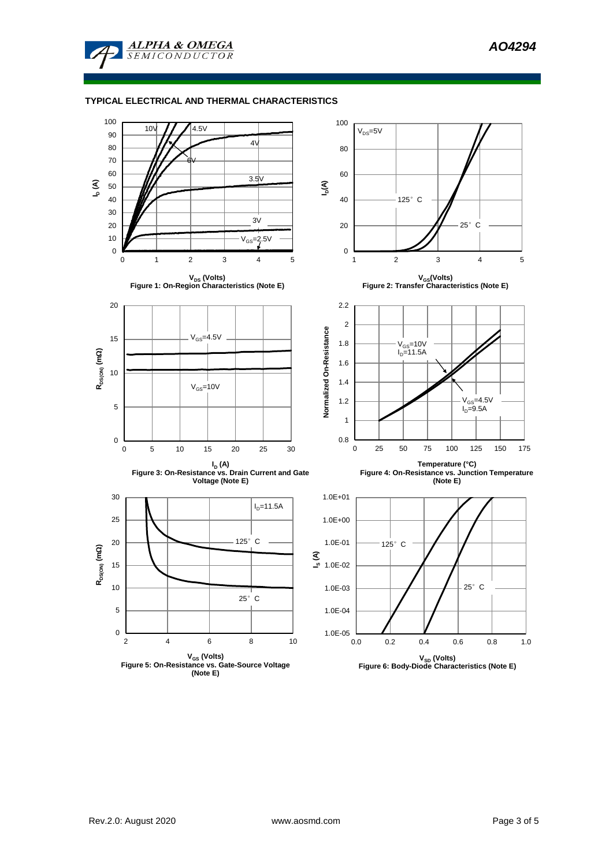

# **TYPICAL ELECTRICAL AND THERMAL CHARACTERISTICS**

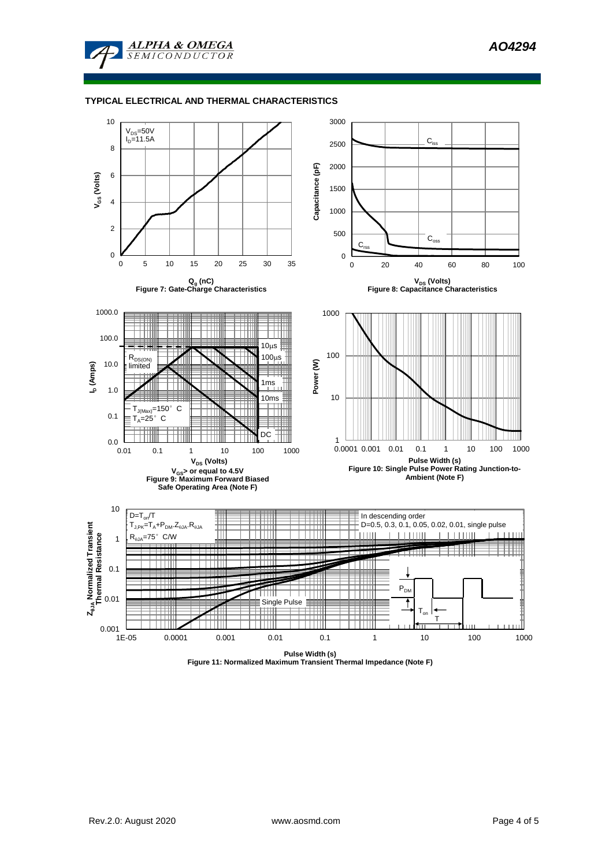

### **TYPICAL ELECTRICAL AND THERMAL CHARACTERISTICS**